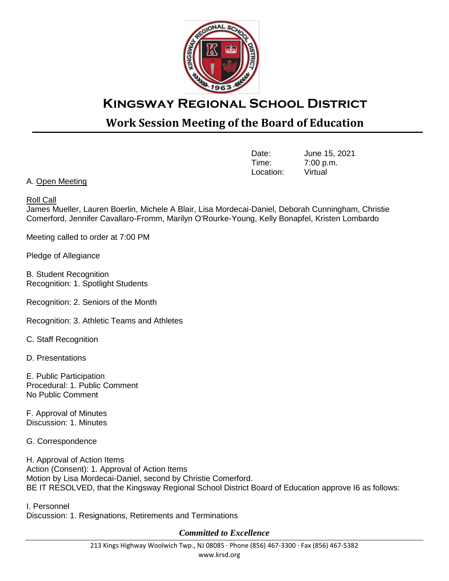

## **Kingsway Regional School District**

## **Work Session Meeting of the Board of Education**

| Date:     | June 15, 2021 |
|-----------|---------------|
| Time:     | 7:00 p.m.     |
| Location: | Virtual       |

A. Open Meeting

## Roll Call

James Mueller, Lauren Boerlin, Michele A Blair, Lisa Mordecai-Daniel, Deborah Cunningham, Christie Comerford, Jennifer Cavallaro-Fromm, Marilyn O'Rourke-Young, Kelly Bonapfel, Kristen Lombardo

Meeting called to order at 7:00 PM

Pledge of Allegiance

B. Student Recognition Recognition: 1. Spotlight Students

Recognition: 2. Seniors of the Month

Recognition: 3. Athletic Teams and Athletes

C. Staff Recognition

D. Presentations

E. Public Participation Procedural: 1. Public Comment No Public Comment

F. Approval of Minutes Discussion: 1. Minutes

G. Correspondence

H. Approval of Action Items Action (Consent): 1. Approval of Action Items Motion by Lisa Mordecai-Daniel, second by Christie Comerford. BE IT RESOLVED, that the Kingsway Regional School District Board of Education approve I6 as follows:

I. Personnel Discussion: 1. Resignations, Retirements and Terminations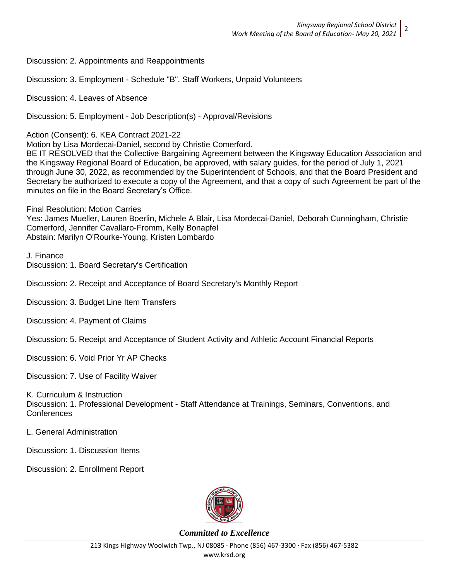Discussion: 2. Appointments and Reappointments

Discussion: 3. Employment - Schedule "B", Staff Workers, Unpaid Volunteers

Discussion: 4. Leaves of Absence

Discussion: 5. Employment - Job Description(s) - Approval/Revisions

Action (Consent): 6. KEA Contract 2021-22

Motion by Lisa Mordecai-Daniel, second by Christie Comerford.

BE IT RESOLVED that the Collective Bargaining Agreement between the Kingsway Education Association and the Kingsway Regional Board of Education, be approved, with salary guides, for the period of July 1, 2021 through June 30, 2022, as recommended by the Superintendent of Schools, and that the Board President and Secretary be authorized to execute a copy of the Agreement, and that a copy of such Agreement be part of the minutes on file in the Board Secretary's Office.

Final Resolution: Motion Carries Yes: James Mueller, Lauren Boerlin, Michele A Blair, Lisa Mordecai-Daniel, Deborah Cunningham, Christie Comerford, Jennifer Cavallaro-Fromm, Kelly Bonapfel Abstain: Marilyn O'Rourke-Young, Kristen Lombardo

J. Finance Discussion: 1. Board Secretary's Certification

Discussion: 2. Receipt and Acceptance of Board Secretary's Monthly Report

Discussion: 3. Budget Line Item Transfers

Discussion: 4. Payment of Claims

Discussion: 5. Receipt and Acceptance of Student Activity and Athletic Account Financial Reports

Discussion: 6. Void Prior Yr AP Checks

Discussion: 7. Use of Facility Waiver

K. Curriculum & Instruction Discussion: 1. Professional Development - Staff Attendance at Trainings, Seminars, Conventions, and **Conferences** 

L. General Administration

Discussion: 1. Discussion Items

Discussion: 2. Enrollment Report

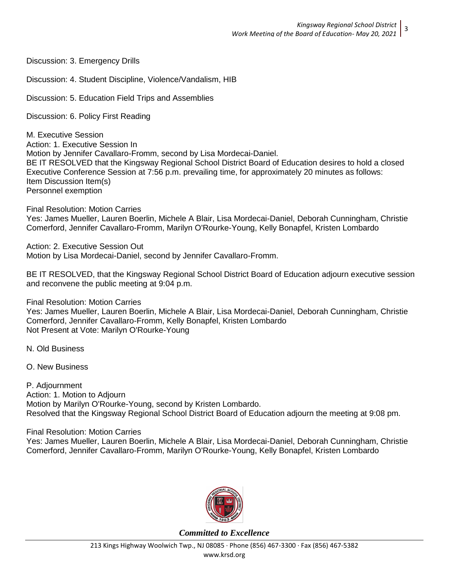Discussion: 3. Emergency Drills

Discussion: 4. Student Discipline, Violence/Vandalism, HIB

Discussion: 5. Education Field Trips and Assemblies

Discussion: 6. Policy First Reading

M. Executive Session Action: 1. Executive Session In Motion by Jennifer Cavallaro-Fromm, second by Lisa Mordecai-Daniel. BE IT RESOLVED that the Kingsway Regional School District Board of Education desires to hold a closed Executive Conference Session at 7:56 p.m. prevailing time, for approximately 20 minutes as follows: Item Discussion Item(s) Personnel exemption

Final Resolution: Motion Carries Yes: James Mueller, Lauren Boerlin, Michele A Blair, Lisa Mordecai-Daniel, Deborah Cunningham, Christie Comerford, Jennifer Cavallaro-Fromm, Marilyn O'Rourke-Young, Kelly Bonapfel, Kristen Lombardo

Action: 2. Executive Session Out Motion by Lisa Mordecai-Daniel, second by Jennifer Cavallaro-Fromm.

BE IT RESOLVED, that the Kingsway Regional School District Board of Education adjourn executive session and reconvene the public meeting at 9:04 p.m.

Final Resolution: Motion Carries

Yes: James Mueller, Lauren Boerlin, Michele A Blair, Lisa Mordecai-Daniel, Deborah Cunningham, Christie Comerford, Jennifer Cavallaro-Fromm, Kelly Bonapfel, Kristen Lombardo Not Present at Vote: Marilyn O'Rourke-Young

N. Old Business

O. New Business

P. Adjournment Action: 1. Motion to Adjourn Motion by Marilyn O'Rourke-Young, second by Kristen Lombardo. Resolved that the Kingsway Regional School District Board of Education adjourn the meeting at 9:08 pm.

Final Resolution: Motion Carries Yes: James Mueller, Lauren Boerlin, Michele A Blair, Lisa Mordecai-Daniel, Deborah Cunningham, Christie Comerford, Jennifer Cavallaro-Fromm, Marilyn O'Rourke-Young, Kelly Bonapfel, Kristen Lombardo